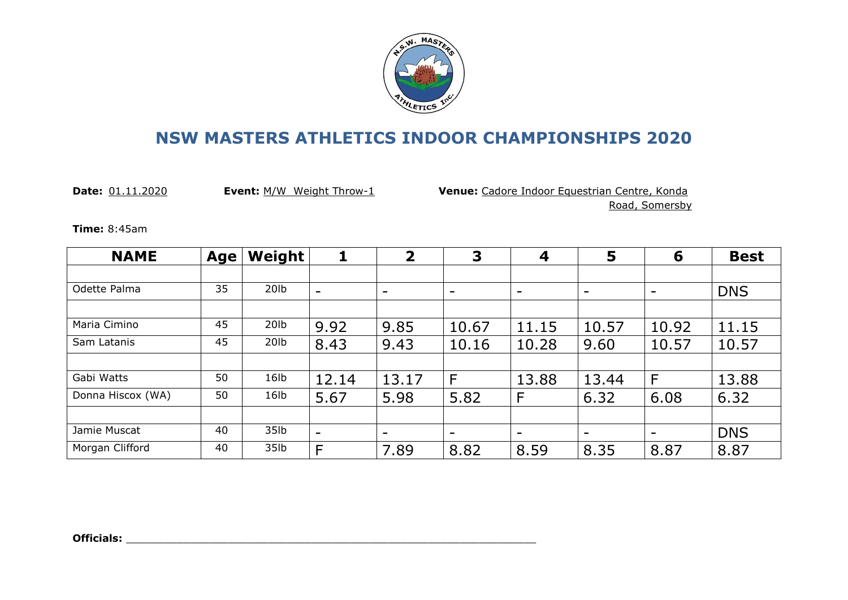

**Date:** 01.11.2020 **Event:** M/W Weight Throw-1 **Venue:** Cadore Indoor Equestrian Centre, Konda Road, Somersby

**Time:** 8:45am

| <b>NAME</b>       | <b>Age</b> | Weight           |                          | $\overline{\mathbf{2}}$  | 3     | 4                        | 5                        | 6                        | <b>Best</b> |
|-------------------|------------|------------------|--------------------------|--------------------------|-------|--------------------------|--------------------------|--------------------------|-------------|
|                   |            |                  |                          |                          |       |                          |                          |                          |             |
| Odette Palma      | 35         | 20 <sub>lb</sub> | $\overline{\phantom{a}}$ | -                        | -     | $\overline{\phantom{a}}$ | $\overline{\phantom{a}}$ | $\overline{\phantom{0}}$ | <b>DNS</b>  |
|                   |            |                  |                          |                          |       |                          |                          |                          |             |
| Maria Cimino      | 45         | 20lb             | 9.92                     | 9.85                     | 10.67 | 11.15                    | 10.57                    | 10.92                    | 11.15       |
| Sam Latanis       | 45         | 20lb             | 8.43                     | 9.43                     | 10.16 | 10.28                    | 9.60                     | 10.57                    | 10.57       |
|                   |            |                  |                          |                          |       |                          |                          |                          |             |
| Gabi Watts        | 50         | 16lb             | 12.14                    | 13.17                    | F     | 13.88                    | 13.44                    | F                        | 13.88       |
| Donna Hiscox (WA) | 50         | 16lb             | 5.67                     | 5.98                     | 5.82  | F                        | 6.32                     | 6.08                     | 6.32        |
|                   |            |                  |                          |                          |       |                          |                          |                          |             |
| Jamie Muscat      | 40         | 35lb             | $\overline{\phantom{0}}$ | $\overline{\phantom{0}}$ | -     | $\overline{\phantom{a}}$ | $\overline{\phantom{a}}$ | $\overline{\phantom{a}}$ | <b>DNS</b>  |
| Morgan Clifford   | 40         | 35lb             | F                        | 7.89                     | 8.82  | 8.59                     | 8.35                     | 8.87                     | 8.87        |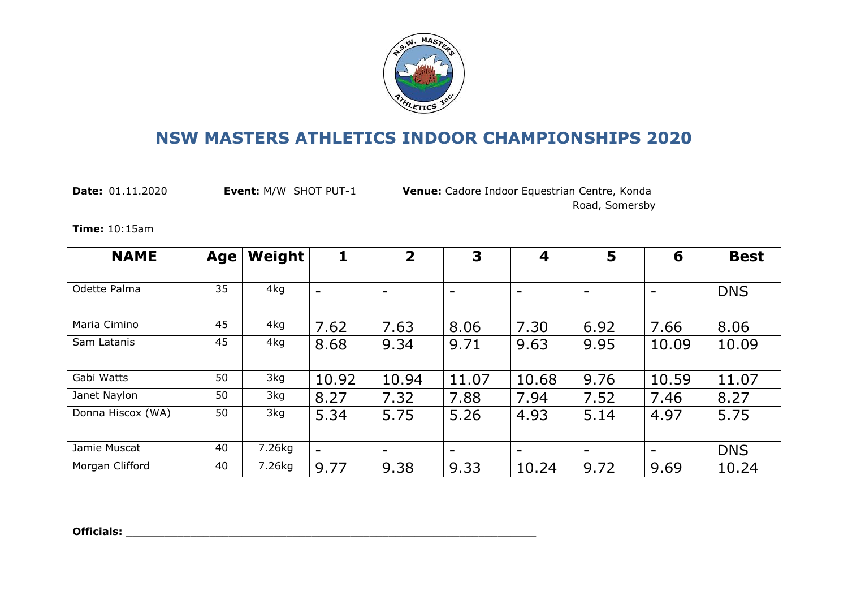

**Date:** 01.11.2020 **Event:** M/W SHOT PUT-1 **Venue:** Cadore Indoor Equestrian Centre, Konda

Road, Somersby

**Time:** 10:15am

| <b>NAME</b>       | <b>Age</b> | Weight |                          | $\mathbf{2}$             | 3                        | 4                        | 5                        | 6                            | <b>Best</b> |
|-------------------|------------|--------|--------------------------|--------------------------|--------------------------|--------------------------|--------------------------|------------------------------|-------------|
|                   |            |        |                          |                          |                          |                          |                          |                              |             |
| Odette Palma      | 35         | 4kg    | $\overline{\phantom{0}}$ | $\overline{\phantom{0}}$ | $\overline{\phantom{0}}$ | -                        | $\overline{\phantom{a}}$ | $\qquad \qquad \blacksquare$ | <b>DNS</b>  |
|                   |            |        |                          |                          |                          |                          |                          |                              |             |
| Maria Cimino      | 45         | 4kg    | 7.62                     | 7.63                     | 8.06                     | 7.30                     | 6.92                     | 7.66                         | 8.06        |
| Sam Latanis       | 45         | 4kg    | 8.68                     | 9.34                     | 9.71                     | 9.63                     | 9.95                     | 10.09                        | 10.09       |
|                   |            |        |                          |                          |                          |                          |                          |                              |             |
| Gabi Watts        | 50         | 3kg    | 10.92                    | 10.94                    | 11.07                    | 10.68                    | 9.76                     | 10.59                        | 11.07       |
| Janet Naylon      | 50         | 3kg    | 8.27                     | 7.32                     | 7.88                     | 7.94                     | 7.52                     | 7.46                         | 8.27        |
| Donna Hiscox (WA) | 50         | 3kg    | 5.34                     | 5.75                     | 5.26                     | 4.93                     | 5.14                     | 4.97                         | 5.75        |
|                   |            |        |                          |                          |                          |                          |                          |                              |             |
| Jamie Muscat      | 40         | 7.26kg | $\overline{\phantom{a}}$ | $\overline{\phantom{0}}$ | -                        | $\overline{\phantom{0}}$ | $\overline{\phantom{a}}$ | -                            | <b>DNS</b>  |
| Morgan Clifford   | 40         | 7.26kg | 9.77                     | 9.38                     | 9.33                     | 10.24                    | 9.72                     | 9.69                         | 10.24       |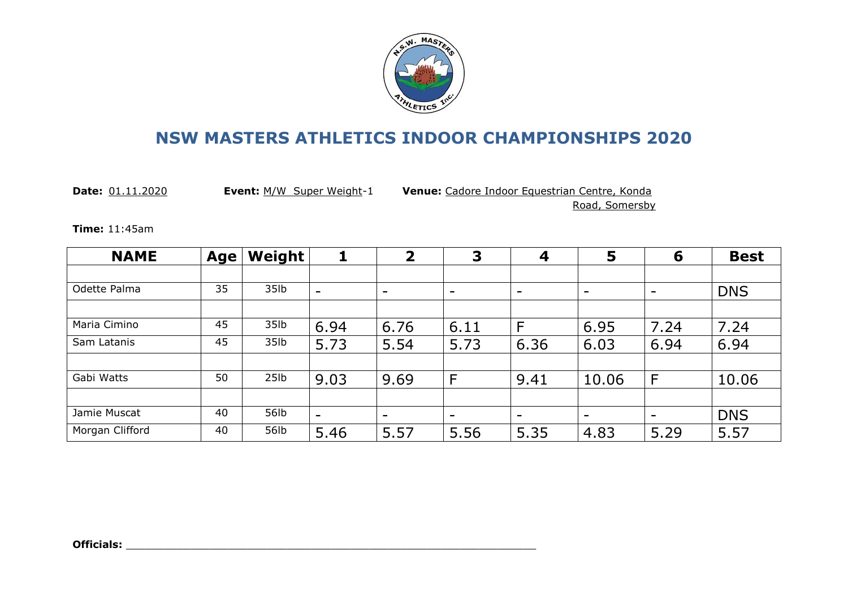

**Date:** 01.11.2020 **Event:** M/W Super Weight-1 **Venue:** Cadore Indoor Equestrian Centre, Konda

Road, Somersby

**Time:** 11:45am

| <b>NAME</b>     | <b>Age</b> | Weight |                          | $\overline{2}$           | 3                        | 4                        | 5                        | 6                        | <b>Best</b> |
|-----------------|------------|--------|--------------------------|--------------------------|--------------------------|--------------------------|--------------------------|--------------------------|-------------|
|                 |            |        |                          |                          |                          |                          |                          |                          |             |
| Odette Palma    | 35         | 35lb   | $\overline{\phantom{0}}$ | $\overline{\phantom{a}}$ | $\overline{\phantom{a}}$ | -                        | $\overline{\phantom{a}}$ | $\overline{\phantom{0}}$ | <b>DNS</b>  |
|                 |            |        |                          |                          |                          |                          |                          |                          |             |
| Maria Cimino    | 45         | 35lb   | 6.94                     | 6.76                     | 6.11                     | F                        | 6.95                     | 7.24                     | 7.24        |
| Sam Latanis     | 45         | 35lb   | 5.73                     | 5.54                     | 5.73                     | 6.36                     | 6.03                     | 6.94                     | 6.94        |
|                 |            |        |                          |                          |                          |                          |                          |                          |             |
| Gabi Watts      | 50         | 25lb   | 9.03                     | 9.69                     | F                        | 9.41                     | 10.06                    | F                        | 10.06       |
|                 |            |        |                          |                          |                          |                          |                          |                          |             |
| Jamie Muscat    | 40         | 56lb   | $\overline{\phantom{0}}$ | ۰                        | $\overline{\phantom{a}}$ | $\overline{\phantom{a}}$ | $\overline{\phantom{0}}$ | $\overline{\phantom{0}}$ | <b>DNS</b>  |
| Morgan Clifford | 40         | 56lb   | 5.46                     | 5.57                     | 5.56                     | 5.35                     | 4.83                     | 5.29                     | 5.57        |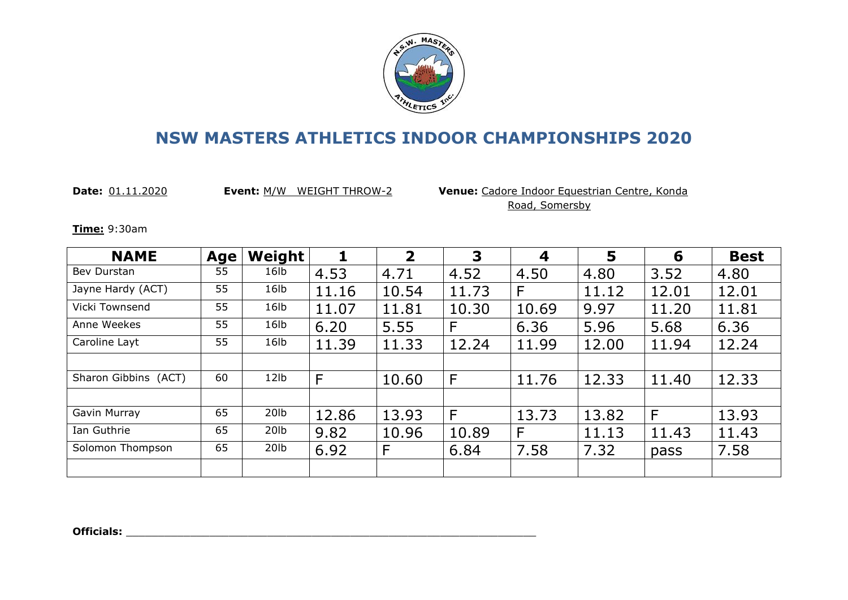

**Date:** 01.11.2020 **Event:** M/W WEIGHT THROW-2 **Venue:** Cadore Indoor Equestrian Centre, Konda Road, Somersby

**Time:** 9:30am

| <b>NAME</b>          | <b>Age</b> | Weight           |       | $\overline{2}$ | 3     | 4     | 5     | 6     | <b>Best</b> |
|----------------------|------------|------------------|-------|----------------|-------|-------|-------|-------|-------------|
| Bev Durstan          | 55         | 16lb             | 4.53  | 4.71           | 4.52  | 4.50  | 4.80  | 3.52  | 4.80        |
| Jayne Hardy (ACT)    | 55         | 16lb             | 11.16 | 10.54          | 11.73 | F     | 11.12 | 12.01 | 12.01       |
| Vicki Townsend       | 55         | 16lb             | 11.07 | 11.81          | 10.30 | 10.69 | 9.97  | 11.20 | 11.81       |
| Anne Weekes          | 55         | 16lb             | 6.20  | 5.55           | F     | 6.36  | 5.96  | 5.68  | 6.36        |
| Caroline Layt        | 55         | 16lb             | 11.39 | 11.33          | 12.24 | 11.99 | 12.00 | 11.94 | 12.24       |
|                      |            |                  |       |                |       |       |       |       |             |
| Sharon Gibbins (ACT) | 60         | 12lb             | F     | 10.60          | F     | 11.76 | 12.33 | 11.40 | 12.33       |
|                      |            |                  |       |                |       |       |       |       |             |
| Gavin Murray         | 65         | 20 <sub>1b</sub> | 12.86 | 13.93          | F     | 13.73 | 13.82 | F     | 13.93       |
| Ian Guthrie          | 65         | 20 <sub>1b</sub> | 9.82  | 10.96          | 10.89 | F     | 11.13 | 11.43 | 11.43       |
| Solomon Thompson     | 65         | 20 <sub>1b</sub> | 6.92  | F              | 6.84  | 7.58  | 7.32  | pass  | 7.58        |
|                      |            |                  |       |                |       |       |       |       |             |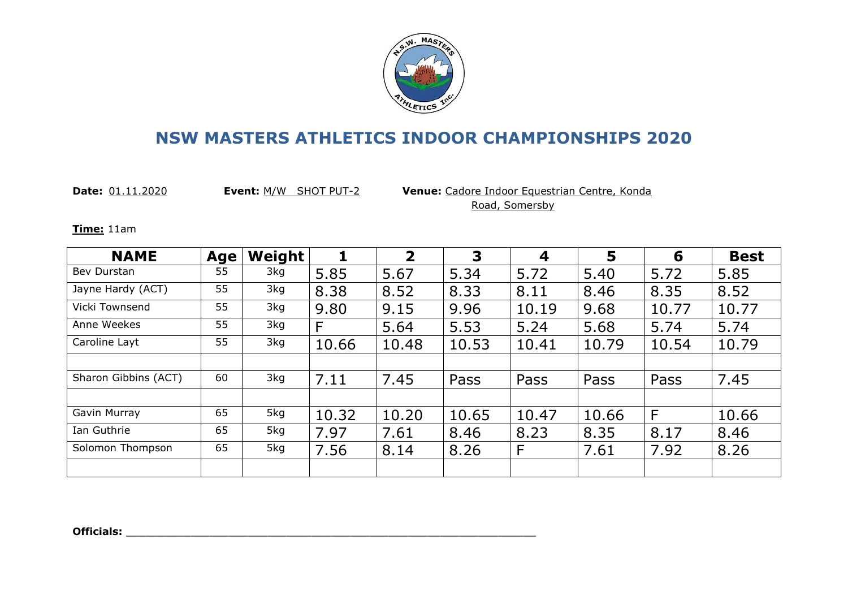

**Date:** 01.11.2020 **Event:** M/W SHOT PUT-2 **Venue:** Cadore Indoor Equestrian Centre, Konda Road, Somersby

**Time:** 11am

| <b>NAME</b>          | Age | Weight |       | $\overline{2}$ | 3     | 4     | 5     | 6     | <b>Best</b> |
|----------------------|-----|--------|-------|----------------|-------|-------|-------|-------|-------------|
| Bev Durstan          | 55  | 3kg    | 5.85  | 5.67           | 5.34  | 5.72  | 5.40  | 5.72  | 5.85        |
| Jayne Hardy (ACT)    | 55  | 3kg    | 8.38  | 8.52           | 8.33  | 8.11  | 8.46  | 8.35  | 8.52        |
| Vicki Townsend       | 55  | 3kg    | 9.80  | 9.15           | 9.96  | 10.19 | 9.68  | 10.77 | 10.77       |
| Anne Weekes          | 55  | 3kg    | F     | 5.64           | 5.53  | 5.24  | 5.68  | 5.74  | 5.74        |
| Caroline Layt        | 55  | 3kg    | 10.66 | 10.48          | 10.53 | 10.41 | 10.79 | 10.54 | 10.79       |
|                      |     |        |       |                |       |       |       |       |             |
| Sharon Gibbins (ACT) | 60  | 3kg    | 7.11  | 7.45           | Pass  | Pass  | Pass  | Pass  | 7.45        |
|                      |     |        |       |                |       |       |       |       |             |
| Gavin Murray         | 65  | 5kg    | 10.32 | 10.20          | 10.65 | 10.47 | 10.66 | F     | 10.66       |
| Ian Guthrie          | 65  | 5kg    | 7.97  | 7.61           | 8.46  | 8.23  | 8.35  | 8.17  | 8.46        |
| Solomon Thompson     | 65  | 5kg    | 7.56  | 8.14           | 8.26  | F     | 7.61  | 7.92  | 8.26        |
|                      |     |        |       |                |       |       |       |       |             |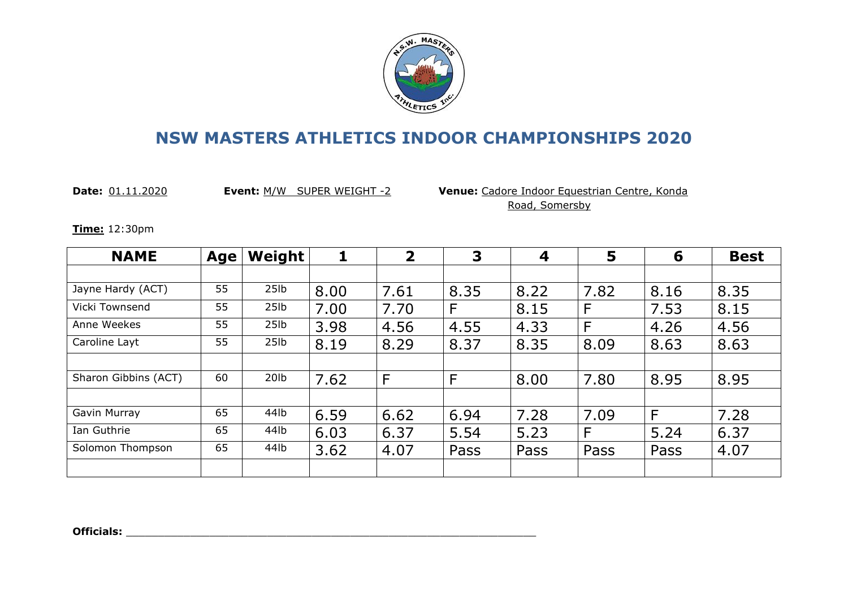

**Date:** 01.11.2020 **Event:** M/W SUPER WEIGHT -2 **Venue:** Cadore Indoor Equestrian Centre, Konda Road, Somersby

**Time:** 12:30pm

| <b>NAME</b>          | <b>Age</b> | Weight           |      | $\mathbf{2}$ | 3    | 4    | 5    | 6    | <b>Best</b> |
|----------------------|------------|------------------|------|--------------|------|------|------|------|-------------|
|                      |            |                  |      |              |      |      |      |      |             |
| Jayne Hardy (ACT)    | 55         | 25 <sub>1b</sub> | 8.00 | 7.61         | 8.35 | 8.22 | 7.82 | 8.16 | 8.35        |
| Vicki Townsend       | 55         | 25 <sub>1b</sub> | 7.00 | 7.70         | F    | 8.15 | F    | 7.53 | 8.15        |
| Anne Weekes          | 55         | 25 <sub>1b</sub> | 3.98 | 4.56         | 4.55 | 4.33 | F    | 4.26 | 4.56        |
| Caroline Layt        | 55         | 25 <sub>1b</sub> | 8.19 | 8.29         | 8.37 | 8.35 | 8.09 | 8.63 | 8.63        |
|                      |            |                  |      |              |      |      |      |      |             |
| Sharon Gibbins (ACT) | 60         | 20 <sub>1b</sub> | 7.62 | F            | F    | 8.00 | 7.80 | 8.95 | 8.95        |
|                      |            |                  |      |              |      |      |      |      |             |
| Gavin Murray         | 65         | 44lb             | 6.59 | 6.62         | 6.94 | 7.28 | 7.09 | F    | 7.28        |
| Ian Guthrie          | 65         | 44lb             | 6.03 | 6.37         | 5.54 | 5.23 | F    | 5.24 | 6.37        |
| Solomon Thompson     | 65         | 44lb             | 3.62 | 4.07         | Pass | Pass | Pass | Pass | 4.07        |
|                      |            |                  |      |              |      |      |      |      |             |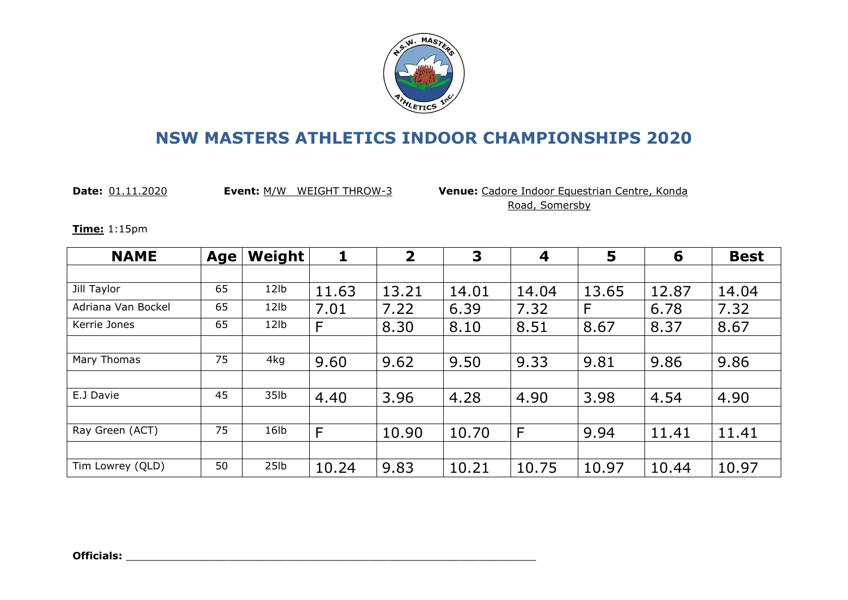

**Date:** 01.11.2020 **Event:** M/W WEIGHT THROW-3 **Venue:** Cadore Indoor Equestrian Centre, Konda Road, Somersby

**Time:** 1:15pm

| <b>NAME</b>        | Age | Weight           |       | $\overline{2}$ | 3     | 4     | 5     | 6     | <b>Best</b> |
|--------------------|-----|------------------|-------|----------------|-------|-------|-------|-------|-------------|
|                    |     |                  |       |                |       |       |       |       |             |
| Jill Taylor        | 65  | 12lb             | 11.63 | 13.21          | 14.01 | 14.04 | 13.65 | 12.87 | 14.04       |
| Adriana Van Bockel | 65  | 12lb             | 7.01  | 7.22           | 6.39  | 7.32  | F     | 6.78  | 7.32        |
| Kerrie Jones       | 65  | 12lb             | F     | 8.30           | 8.10  | 8.51  | 8.67  | 8.37  | 8.67        |
|                    |     |                  |       |                |       |       |       |       |             |
| Mary Thomas        | 75  | 4kg              | 9.60  | 9.62           | 9.50  | 9.33  | 9.81  | 9.86  | 9.86        |
|                    |     |                  |       |                |       |       |       |       |             |
| E.J Davie          | 45  | 35lb             | 4.40  | 3.96           | 4.28  | 4.90  | 3.98  | 4.54  | 4.90        |
|                    |     |                  |       |                |       |       |       |       |             |
| Ray Green (ACT)    | 75  | 16lb             | F     | 10.90          | 10.70 | F     | 9.94  | 11.41 | 11.41       |
|                    |     |                  |       |                |       |       |       |       |             |
| Tim Lowrey (QLD)   | 50  | 25 <sub>1b</sub> | 10.24 | 9.83           | 10.21 | 10.75 | 10.97 | 10.44 | 10.97       |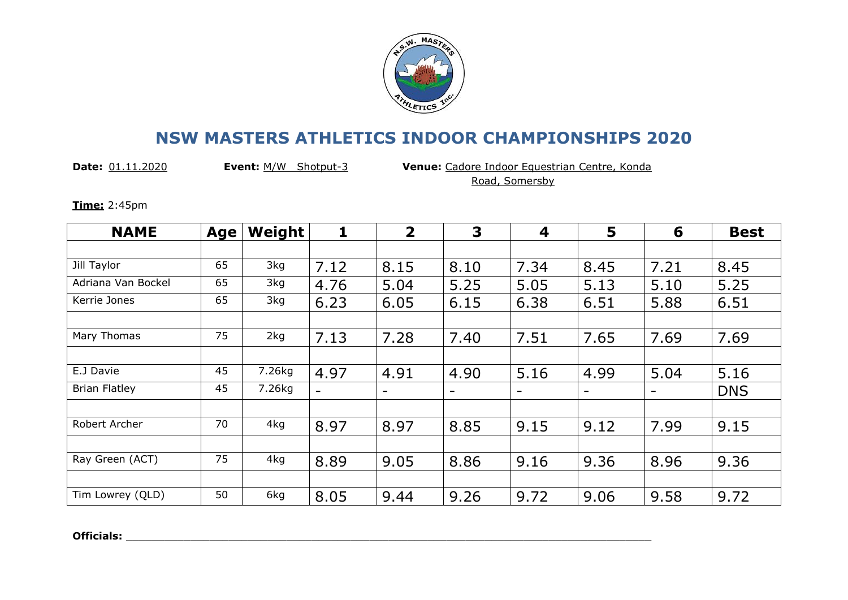

**Date:** 01.11.2020 **Event:** M/W Shotput-3 **Venue:** Cadore Indoor Equestrian Centre, Konda Road, Somersby

**Time:** 2:45pm

| <b>NAME</b>          | Age | Weight | 1                 | $\overline{2}$ | 3                        | 4                        | 5                        | 6                        | <b>Best</b> |
|----------------------|-----|--------|-------------------|----------------|--------------------------|--------------------------|--------------------------|--------------------------|-------------|
|                      |     |        |                   |                |                          |                          |                          |                          |             |
| Jill Taylor          | 65  | 3kg    | 7.12              | 8.15           | 8.10                     | 7.34                     | 8.45                     | 7.21                     | 8.45        |
| Adriana Van Bockel   | 65  | 3kg    | 4.76              | 5.04           | 5.25                     | 5.05                     | 5.13                     | 5.10                     | 5.25        |
| Kerrie Jones         | 65  | 3kg    | 6.23              | 6.05           | 6.15                     | 6.38                     | 6.51                     | 5.88                     | 6.51        |
|                      |     |        |                   |                |                          |                          |                          |                          |             |
| Mary Thomas          | 75  | 2kg    | 7.13              | 7.28           | 7.40                     | 7.51                     | 7.65                     | 7.69                     | 7.69        |
|                      |     |        |                   |                |                          |                          |                          |                          |             |
| E.J Davie            | 45  | 7.26kg | 4.97              | 4.91           | 4.90                     | 5.16                     | 4.99                     | 5.04                     | 5.16        |
| <b>Brian Flatley</b> | 45  | 7.26kg | $\qquad \qquad -$ | -              | $\overline{\phantom{a}}$ | $\overline{\phantom{a}}$ | $\overline{\phantom{a}}$ | $\overline{\phantom{a}}$ | <b>DNS</b>  |
|                      |     |        |                   |                |                          |                          |                          |                          |             |
| Robert Archer        | 70  | 4kg    | 8.97              | 8.97           | 8.85                     | 9.15                     | 9.12                     | 7.99                     | 9.15        |
|                      |     |        |                   |                |                          |                          |                          |                          |             |
| Ray Green (ACT)      | 75  | 4kg    | 8.89              | 9.05           | 8.86                     | 9.16                     | 9.36                     | 8.96                     | 9.36        |
|                      |     |        |                   |                |                          |                          |                          |                          |             |
| Tim Lowrey (QLD)     | 50  | 6kg    | 8.05              | 9.44           | 9.26                     | 9.72                     | 9.06                     | 9.58                     | 9.72        |

**Officials:** \_\_\_\_\_\_\_\_\_\_\_\_\_\_\_\_\_\_\_\_\_\_\_\_\_\_\_\_\_\_\_\_\_\_\_\_\_\_\_\_\_\_\_\_\_\_\_\_\_\_\_\_\_\_\_\_\_\_\_\_\_\_\_\_\_\_\_\_\_\_\_\_\_\_\_\_\_\_\_\_\_\_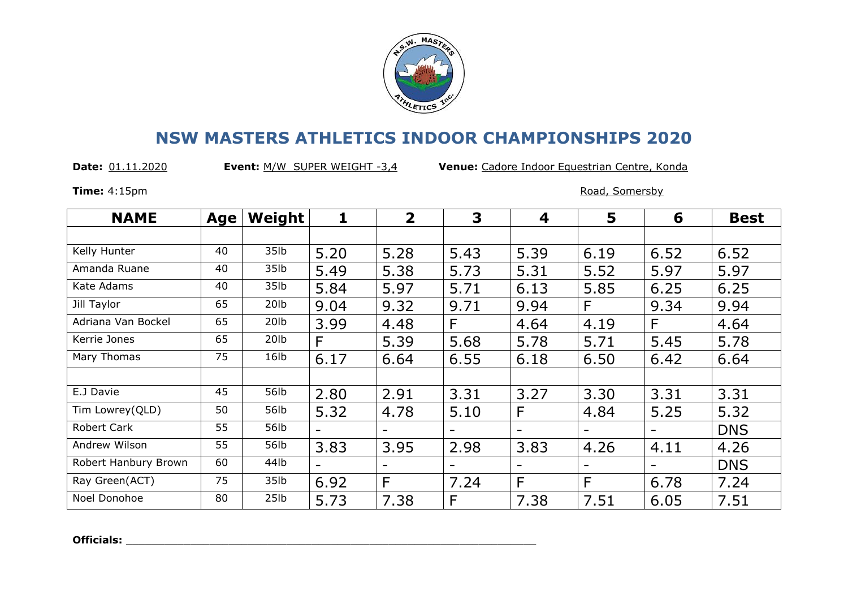

**Date:** 01.11.2020 **Event:** M/W SUPER WEIGHT -3,4 **Venue:** Cadore Indoor Equestrian Centre, Konda

**Time:** 4:15pm Road, Somersby

| <b>NAME</b>          | <b>Age</b> | Weight           | 1                 | $\overline{2}$           | 3    | 4    | 5                        | 6                            | <b>Best</b> |
|----------------------|------------|------------------|-------------------|--------------------------|------|------|--------------------------|------------------------------|-------------|
|                      |            |                  |                   |                          |      |      |                          |                              |             |
| Kelly Hunter         | 40         | 35lb             | 5.20              | 5.28                     | 5.43 | 5.39 | 6.19                     | 6.52                         | 6.52        |
| Amanda Ruane         | 40         | 35lb             | 5.49              | 5.38                     | 5.73 | 5.31 | 5.52                     | 5.97                         | 5.97        |
| Kate Adams           | 40         | 35lb             | 5.84              | 5.97                     | 5.71 | 6.13 | 5.85                     | 6.25                         | 6.25        |
| Jill Taylor          | 65         | 20lb             | 9.04              | 9.32                     | 9.71 | 9.94 | F                        | 9.34                         | 9.94        |
| Adriana Van Bockel   | 65         | 20 <sub>lb</sub> | 3.99              | 4.48                     | F    | 4.64 | 4.19                     | F                            | 4.64        |
| Kerrie Jones         | 65         | 20 <sub>lb</sub> | F                 | 5.39                     | 5.68 | 5.78 | 5.71                     | 5.45                         | 5.78        |
| Mary Thomas          | 75         | 16lb             | 6.17              | 6.64                     | 6.55 | 6.18 | 6.50                     | 6.42                         | 6.64        |
|                      |            |                  |                   |                          |      |      |                          |                              |             |
| E.J Davie            | 45         | 56lb             | 2.80              | 2.91                     | 3.31 | 3.27 | 3.30                     | 3.31                         | 3.31        |
| Tim Lowrey(QLD)      | 50         | 56lb             | 5.32              | 4.78                     | 5.10 | F    | 4.84                     | 5.25                         | 5.32        |
| Robert Cark          | 55         | 56lb             |                   | $\overline{\phantom{0}}$ | -    | -    | -                        | $\qquad \qquad \blacksquare$ | <b>DNS</b>  |
| Andrew Wilson        | 55         | 56lb             | 3.83              | 3.95                     | 2.98 | 3.83 | 4.26                     | 4.11                         | 4.26        |
| Robert Hanbury Brown | 60         | 44lb             | $\qquad \qquad =$ | $\qquad \qquad$          | -    | -    | $\overline{\phantom{a}}$ | $\qquad \qquad \blacksquare$ | <b>DNS</b>  |
| Ray Green(ACT)       | 75         | 35lb             | 6.92              | F                        | 7.24 | F    | F                        | 6.78                         | 7.24        |
| Noel Donohoe         | 80         | 25 <sub>1b</sub> | 5.73              | 7.38                     | F    | 7.38 | 7.51                     | 6.05                         | 7.51        |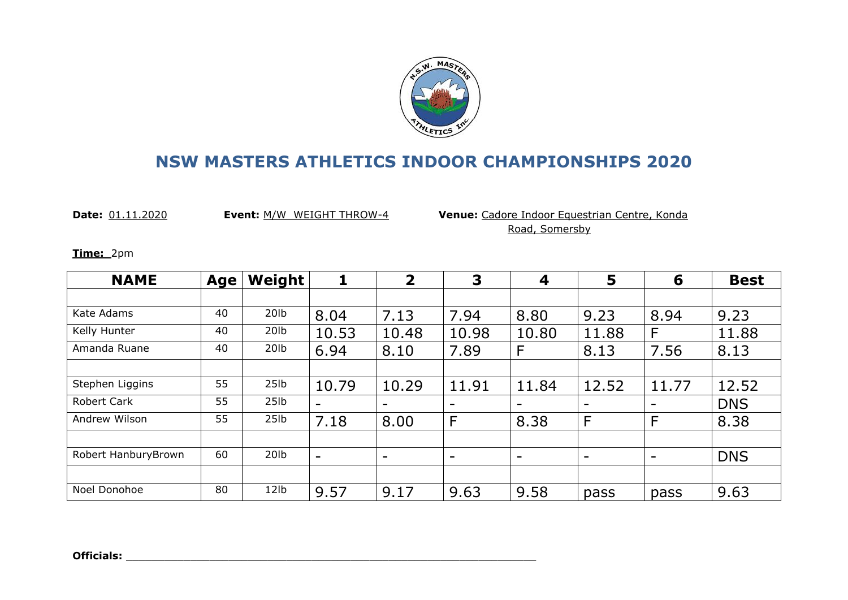

**Date:** 01.11.2020 **Event:** M/W WEIGHT THROW-4 **Venue:** Cadore Indoor Equestrian Centre, Konda Road, Somersby

**Time:** 2pm

| <b>NAME</b>         | <b>Age</b> | Weight           |                          | $\overline{2}$ | 3                        | 4                        | 5                        | 6                        | <b>Best</b> |
|---------------------|------------|------------------|--------------------------|----------------|--------------------------|--------------------------|--------------------------|--------------------------|-------------|
|                     |            |                  |                          |                |                          |                          |                          |                          |             |
| Kate Adams          | 40         | 20 <sub>1b</sub> | 8.04                     | 7.13           | 7.94                     | 8.80                     | 9.23                     | 8.94                     | 9.23        |
| Kelly Hunter        | 40         | 20lb             | 10.53                    | 10.48          | 10.98                    | 10.80                    | 11.88                    | F                        | 11.88       |
| Amanda Ruane        | 40         | 20lb             | 6.94                     | 8.10           | 7.89                     | F                        | 8.13                     | 7.56                     | 8.13        |
|                     |            |                  |                          |                |                          |                          |                          |                          |             |
| Stephen Liggins     | 55         | 25 <sub>1b</sub> | 10.79                    | 10.29          | 11.91                    | 11.84                    | 12.52                    | 11.77                    | 12.52       |
| <b>Robert Cark</b>  | 55         | 25 <sub>1b</sub> | $\overline{\phantom{0}}$ | -              | -                        | $\overline{\phantom{a}}$ | $\overline{\phantom{a}}$ | $\overline{\phantom{0}}$ | <b>DNS</b>  |
| Andrew Wilson       | 55         | 25 <sub>1b</sub> | 7.18                     | 8.00           | F                        | 8.38                     | $\mathsf{F}$             | F                        | 8.38        |
|                     |            |                  |                          |                |                          |                          |                          |                          |             |
| Robert HanburyBrown | 60         | 20 <sub>1b</sub> | $\qquad \qquad -$        | -              | $\overline{\phantom{0}}$ | $\overline{\phantom{a}}$ | $\overline{\phantom{a}}$ | $\overline{\phantom{0}}$ | <b>DNS</b>  |
|                     |            |                  |                          |                |                          |                          |                          |                          |             |
| Noel Donohoe        | 80         | 12lb             | 9.57                     | 9.17           | 9.63                     | 9.58                     | pass                     | pass                     | 9.63        |

**Officials:**